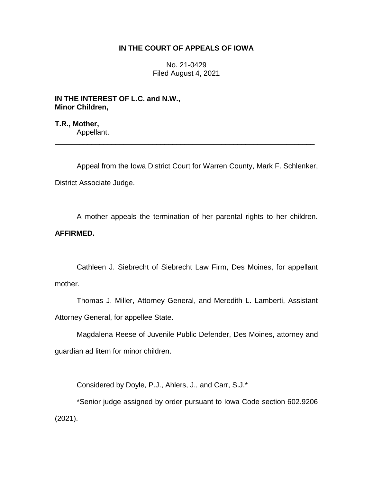## **IN THE COURT OF APPEALS OF IOWA**

No. 21-0429 Filed August 4, 2021

**IN THE INTEREST OF L.C. and N.W., Minor Children,**

**T.R., Mother,** Appellant.

Appeal from the Iowa District Court for Warren County, Mark F. Schlenker, District Associate Judge.

\_\_\_\_\_\_\_\_\_\_\_\_\_\_\_\_\_\_\_\_\_\_\_\_\_\_\_\_\_\_\_\_\_\_\_\_\_\_\_\_\_\_\_\_\_\_\_\_\_\_\_\_\_\_\_\_\_\_\_\_\_\_\_\_

A mother appeals the termination of her parental rights to her children. **AFFIRMED.**

Cathleen J. Siebrecht of Siebrecht Law Firm, Des Moines, for appellant mother.

Thomas J. Miller, Attorney General, and Meredith L. Lamberti, Assistant Attorney General, for appellee State.

Magdalena Reese of Juvenile Public Defender, Des Moines, attorney and guardian ad litem for minor children.

Considered by Doyle, P.J., Ahlers, J., and Carr, S.J.\*

\*Senior judge assigned by order pursuant to Iowa Code section 602.9206 (2021).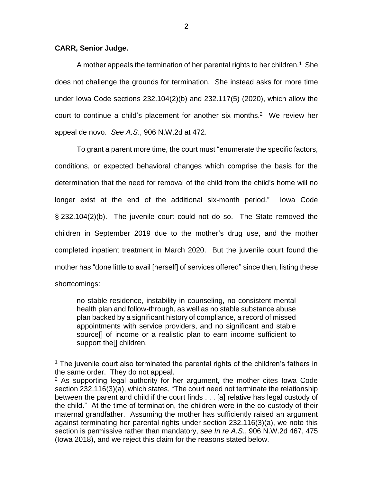## **CARR, Senior Judge.**

 $\overline{a}$ 

A mother appeals the termination of her parental rights to her children.<sup>1</sup> She does not challenge the grounds for termination. She instead asks for more time under Iowa Code sections 232.104(2)(b) and 232.117(5) (2020), which allow the court to continue a child's placement for another six months.<sup>2</sup> We review her appeal de novo. *See A.S*., 906 N.W.2d at 472.

To grant a parent more time, the court must "enumerate the specific factors, conditions, or expected behavioral changes which comprise the basis for the determination that the need for removal of the child from the child's home will no longer exist at the end of the additional six-month period." Iowa Code § 232.104(2)(b). The juvenile court could not do so. The State removed the children in September 2019 due to the mother's drug use, and the mother completed inpatient treatment in March 2020. But the juvenile court found the mother has "done little to avail [herself] of services offered" since then, listing these shortcomings:

no stable residence, instability in counseling, no consistent mental health plan and follow-through, as well as no stable substance abuse plan backed by a significant history of compliance, a record of missed appointments with service providers, and no significant and stable source[] of income or a realistic plan to earn income sufficient to support the<sup>[]</sup> children.

 $1$  The juvenile court also terminated the parental rights of the children's fathers in the same order. They do not appeal.

 $2$  As supporting legal authority for her argument, the mother cites lowa Code section 232.116(3)(a), which states, "The court need not terminate the relationship between the parent and child if the court finds . . . [a] relative has legal custody of the child." At the time of termination, the children were in the co-custody of their maternal grandfather. Assuming the mother has sufficiently raised an argument against terminating her parental rights under section 232.116(3)(a), we note this section is permissive rather than mandatory, *see In re A.S*., 906 N.W.2d 467, 475 (Iowa 2018), and we reject this claim for the reasons stated below.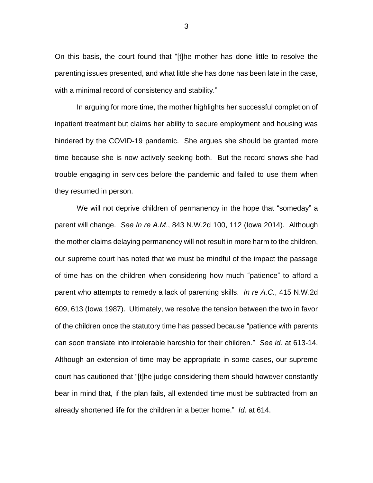On this basis, the court found that "[t]he mother has done little to resolve the parenting issues presented, and what little she has done has been late in the case, with a minimal record of consistency and stability."

In arguing for more time, the mother highlights her successful completion of inpatient treatment but claims her ability to secure employment and housing was hindered by the COVID-19 pandemic. She argues she should be granted more time because she is now actively seeking both. But the record shows she had trouble engaging in services before the pandemic and failed to use them when they resumed in person.

We will not deprive children of permanency in the hope that "someday" a parent will change. *See In re A.M*., 843 N.W.2d 100, 112 (Iowa 2014). Although the mother claims delaying permanency will not result in more harm to the children, our supreme court has noted that we must be mindful of the impact the passage of time has on the children when considering how much "patience" to afford a parent who attempts to remedy a lack of parenting skills. *In re A.C.*, 415 N.W.2d 609, 613 (Iowa 1987). Ultimately, we resolve the tension between the two in favor of the children once the statutory time has passed because "patience with parents can soon translate into intolerable hardship for their children." *See id.* at 613-14. Although an extension of time may be appropriate in some cases, our supreme court has cautioned that "[t]he judge considering them should however constantly bear in mind that, if the plan fails, all extended time must be subtracted from an already shortened life for the children in a better home." *Id.* at 614.

3